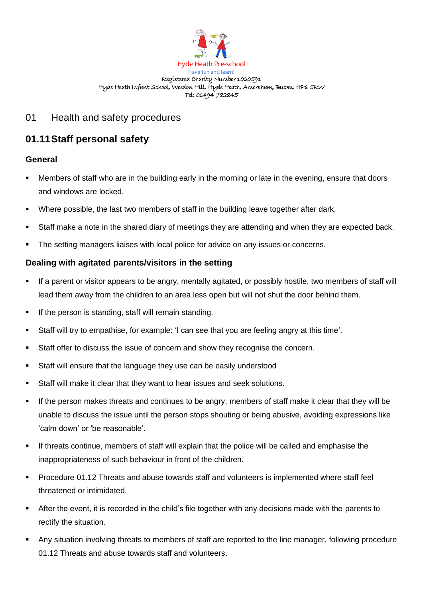

#### Hyde Heath Pre-school Have fun and learn! Registered Charity Number 1020591 Hyde Heath Infant School, Weedon Hill, Hyde Heath, Amersham, Bucks, HP6 5RW Tel: 01494 782845

## 01 Health and safety procedures

# **01.11Staff personal safety**

## **General**

- Members of staff who are in the building early in the morning or late in the evening, ensure that doors and windows are locked.
- Where possible, the last two members of staff in the building leave together after dark.
- Staff make a note in the shared diary of meetings they are attending and when they are expected back.
- **•** The setting managers liaises with local police for advice on any issues or concerns.

## **Dealing with agitated parents/visitors in the setting**

- If a parent or visitor appears to be angry, mentally agitated, or possibly hostile, two members of staff will lead them away from the children to an area less open but will not shut the door behind them.
- If the person is standing, staff will remain standing.
- Staff will try to empathise, for example: 'I can see that you are feeling angry at this time'.
- Staff offer to discuss the issue of concern and show they recognise the concern.
- Staff will ensure that the language they use can be easily understood
- Staff will make it clear that they want to hear issues and seek solutions.
- If the person makes threats and continues to be angry, members of staff make it clear that they will be unable to discuss the issue until the person stops shouting or being abusive, avoiding expressions like 'calm down' or 'be reasonable'.
- If threats continue, members of staff will explain that the police will be called and emphasise the inappropriateness of such behaviour in front of the children.
- Procedure 01.12 Threats and abuse towards staff and volunteers is implemented where staff feel threatened or intimidated.
- After the event, it is recorded in the child's file together with any decisions made with the parents to rectify the situation.
- Any situation involving threats to members of staff are reported to the line manager, following procedure 01.12 Threats and abuse towards staff and volunteers.